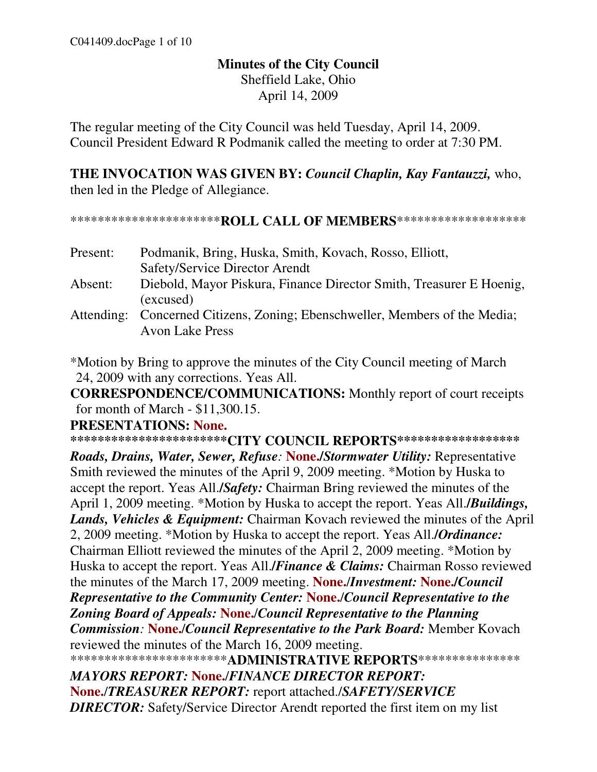## **Minutes of the City Council**  Sheffield Lake, Ohio April 14, 2009

The regular meeting of the City Council was held Tuesday, April 14, 2009. Council President Edward R Podmanik called the meeting to order at 7:30 PM.

**THE INVOCATION WAS GIVEN BY:** *Council Chaplin, Kay Fantauzzi,* who, then led in the Pledge of Allegiance.

\*\*\*\*\*\*\*\*\*\*\*\*\*\*\*\*\*\*\*\*\*\***ROLL CALL OF MEMBERS**\*\*\*\*\*\*\*\*\*\*\*\*\*\*\*\*\*\*\*

Present: Podmanik, Bring, Huska, Smith, Kovach, Rosso, Elliott, Safety/Service Director Arendt Absent: Diebold, Mayor Piskura, Finance Director Smith, Treasurer E Hoenig, (excused) Attending: Concerned Citizens, Zoning; Ebenschweller, Members of the Media; Avon Lake Press

\*Motion by Bring to approve the minutes of the City Council meeting of March 24, 2009 with any corrections. Yeas All.

**CORRESPONDENCE/COMMUNICATIONS:** Monthly report of court receipts for month of March - \$11,300.15.

#### **PRESENTATIONS: None.**

**\*\*\*\*\*\*\*\*\*\*\*\*\*\*\*\*\*\*\*\*\*\*\*CITY COUNCIL REPORTS\*\*\*\*\*\*\*\*\*\*\*\*\*\*\*\*\*\***

*Roads, Drains, Water, Sewer, Refuse:* **None./***Stormwater Utility:* Representative Smith reviewed the minutes of the April 9, 2009 meeting. \*Motion by Huska to accept the report. Yeas All.**/***Safety:* Chairman Bring reviewed the minutes of the April 1, 2009 meeting. \*Motion by Huska to accept the report. Yeas All.**/***Buildings, Lands, Vehicles & Equipment:* Chairman Kovach reviewed the minutes of the April 2, 2009 meeting. \*Motion by Huska to accept the report. Yeas All.**/***Ordinance:* Chairman Elliott reviewed the minutes of the April 2, 2009 meeting. \*Motion by Huska to accept the report. Yeas All.**/***Finance & Claims:* Chairman Rosso reviewed the minutes of the March 17, 2009 meeting. **None.**/*Investment:* **None./***Council Representative to the Community Center:* **None.**/*Council Representative to the Zoning Board of Appeals:* **None.**/*Council Representative to the Planning Commission:* **None.**/*Council Representative to the Park Board:* Member Kovach reviewed the minutes of the March 16, 2009 meeting.

\*\*\*\*\*\*\*\*\*\*\*\*\*\*\*\*\*\*\*\*\*\*\***ADMINISTRATIVE REPORTS**\*\*\*\*\*\*\*\*\*\*\*\*\*\*\* *MAYORS REPORT:* **None.**/*FINANCE DIRECTOR REPORT:* 

**None.**/*TREASURER REPORT:* report attached./*SAFETY/SERVICE DIRECTOR:* Safety/Service Director Arendt reported the first item on my list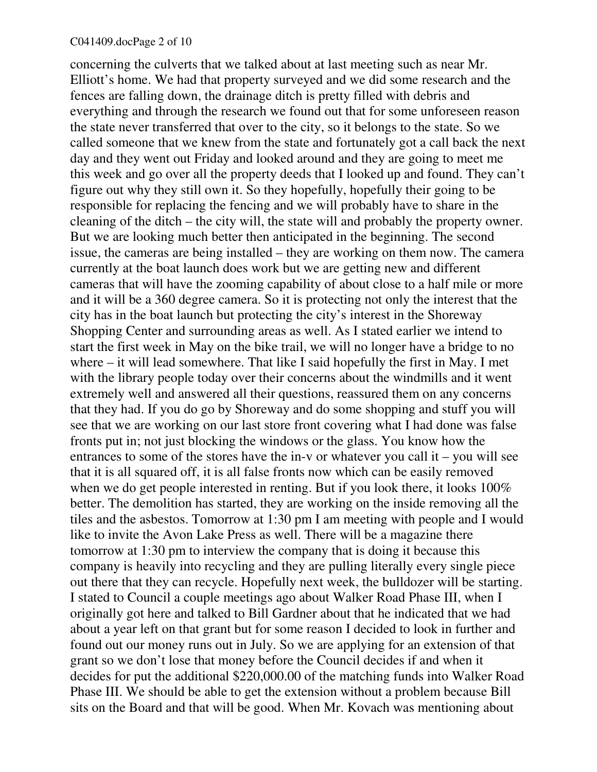concerning the culverts that we talked about at last meeting such as near Mr. Elliott's home. We had that property surveyed and we did some research and the fences are falling down, the drainage ditch is pretty filled with debris and everything and through the research we found out that for some unforeseen reason the state never transferred that over to the city, so it belongs to the state. So we called someone that we knew from the state and fortunately got a call back the next day and they went out Friday and looked around and they are going to meet me this week and go over all the property deeds that I looked up and found. They can't figure out why they still own it. So they hopefully, hopefully their going to be responsible for replacing the fencing and we will probably have to share in the cleaning of the ditch – the city will, the state will and probably the property owner. But we are looking much better then anticipated in the beginning. The second issue, the cameras are being installed – they are working on them now. The camera currently at the boat launch does work but we are getting new and different cameras that will have the zooming capability of about close to a half mile or more and it will be a 360 degree camera. So it is protecting not only the interest that the city has in the boat launch but protecting the city's interest in the Shoreway Shopping Center and surrounding areas as well. As I stated earlier we intend to start the first week in May on the bike trail, we will no longer have a bridge to no where – it will lead somewhere. That like I said hopefully the first in May. I met with the library people today over their concerns about the windmills and it went extremely well and answered all their questions, reassured them on any concerns that they had. If you do go by Shoreway and do some shopping and stuff you will see that we are working on our last store front covering what I had done was false fronts put in; not just blocking the windows or the glass. You know how the entrances to some of the stores have the in-v or whatever you call it – you will see that it is all squared off, it is all false fronts now which can be easily removed when we do get people interested in renting. But if you look there, it looks 100% better. The demolition has started, they are working on the inside removing all the tiles and the asbestos. Tomorrow at 1:30 pm I am meeting with people and I would like to invite the Avon Lake Press as well. There will be a magazine there tomorrow at 1:30 pm to interview the company that is doing it because this company is heavily into recycling and they are pulling literally every single piece out there that they can recycle. Hopefully next week, the bulldozer will be starting. I stated to Council a couple meetings ago about Walker Road Phase III, when I originally got here and talked to Bill Gardner about that he indicated that we had about a year left on that grant but for some reason I decided to look in further and found out our money runs out in July. So we are applying for an extension of that grant so we don't lose that money before the Council decides if and when it decides for put the additional \$220,000.00 of the matching funds into Walker Road Phase III. We should be able to get the extension without a problem because Bill sits on the Board and that will be good. When Mr. Kovach was mentioning about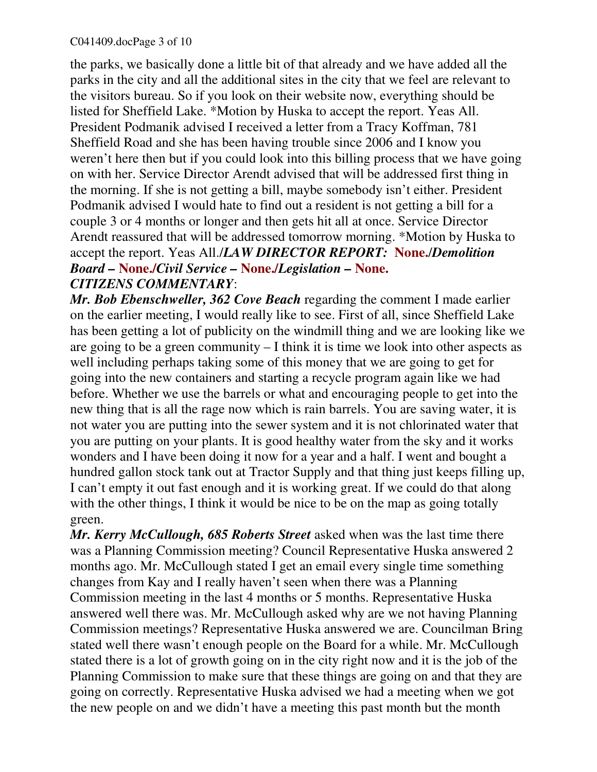the parks, we basically done a little bit of that already and we have added all the parks in the city and all the additional sites in the city that we feel are relevant to the visitors bureau. So if you look on their website now, everything should be listed for Sheffield Lake. \*Motion by Huska to accept the report. Yeas All. President Podmanik advised I received a letter from a Tracy Koffman, 781 Sheffield Road and she has been having trouble since 2006 and I know you weren't here then but if you could look into this billing process that we have going on with her. Service Director Arendt advised that will be addressed first thing in the morning. If she is not getting a bill, maybe somebody isn't either. President Podmanik advised I would hate to find out a resident is not getting a bill for a couple 3 or 4 months or longer and then gets hit all at once. Service Director Arendt reassured that will be addressed tomorrow morning. \*Motion by Huska to accept the report. Yeas All./*LAW DIRECTOR REPORT:* **None.**/*Demolition Board –* **None./***Civil Service –* **None./***Legislation –* **None.** *CITIZENS COMMENTARY*:

*Mr. Bob Ebenschweller, 362 Cove Beach* regarding the comment I made earlier on the earlier meeting, I would really like to see. First of all, since Sheffield Lake has been getting a lot of publicity on the windmill thing and we are looking like we are going to be a green community – I think it is time we look into other aspects as well including perhaps taking some of this money that we are going to get for going into the new containers and starting a recycle program again like we had before. Whether we use the barrels or what and encouraging people to get into the new thing that is all the rage now which is rain barrels. You are saving water, it is not water you are putting into the sewer system and it is not chlorinated water that you are putting on your plants. It is good healthy water from the sky and it works wonders and I have been doing it now for a year and a half. I went and bought a hundred gallon stock tank out at Tractor Supply and that thing just keeps filling up, I can't empty it out fast enough and it is working great. If we could do that along with the other things, I think it would be nice to be on the map as going totally green.

*Mr. Kerry McCullough, 685 Roberts Street* asked when was the last time there was a Planning Commission meeting? Council Representative Huska answered 2 months ago. Mr. McCullough stated I get an email every single time something changes from Kay and I really haven't seen when there was a Planning Commission meeting in the last 4 months or 5 months. Representative Huska answered well there was. Mr. McCullough asked why are we not having Planning Commission meetings? Representative Huska answered we are. Councilman Bring stated well there wasn't enough people on the Board for a while. Mr. McCullough stated there is a lot of growth going on in the city right now and it is the job of the Planning Commission to make sure that these things are going on and that they are going on correctly. Representative Huska advised we had a meeting when we got the new people on and we didn't have a meeting this past month but the month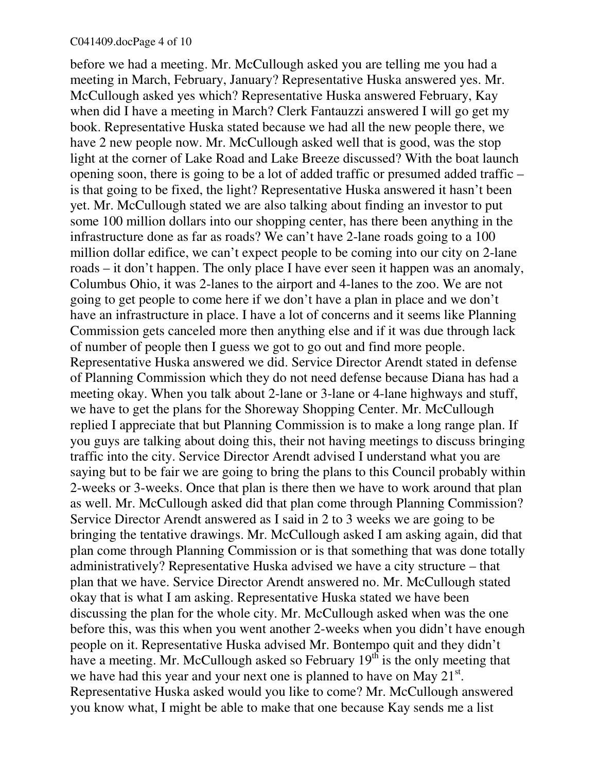#### C041409.docPage 4 of 10

before we had a meeting. Mr. McCullough asked you are telling me you had a meeting in March, February, January? Representative Huska answered yes. Mr. McCullough asked yes which? Representative Huska answered February, Kay when did I have a meeting in March? Clerk Fantauzzi answered I will go get my book. Representative Huska stated because we had all the new people there, we have 2 new people now. Mr. McCullough asked well that is good, was the stop light at the corner of Lake Road and Lake Breeze discussed? With the boat launch opening soon, there is going to be a lot of added traffic or presumed added traffic – is that going to be fixed, the light? Representative Huska answered it hasn't been yet. Mr. McCullough stated we are also talking about finding an investor to put some 100 million dollars into our shopping center, has there been anything in the infrastructure done as far as roads? We can't have 2-lane roads going to a 100 million dollar edifice, we can't expect people to be coming into our city on 2-lane roads – it don't happen. The only place I have ever seen it happen was an anomaly, Columbus Ohio, it was 2-lanes to the airport and 4-lanes to the zoo. We are not going to get people to come here if we don't have a plan in place and we don't have an infrastructure in place. I have a lot of concerns and it seems like Planning Commission gets canceled more then anything else and if it was due through lack of number of people then I guess we got to go out and find more people. Representative Huska answered we did. Service Director Arendt stated in defense of Planning Commission which they do not need defense because Diana has had a meeting okay. When you talk about 2-lane or 3-lane or 4-lane highways and stuff, we have to get the plans for the Shoreway Shopping Center. Mr. McCullough replied I appreciate that but Planning Commission is to make a long range plan. If you guys are talking about doing this, their not having meetings to discuss bringing traffic into the city. Service Director Arendt advised I understand what you are saying but to be fair we are going to bring the plans to this Council probably within 2-weeks or 3-weeks. Once that plan is there then we have to work around that plan as well. Mr. McCullough asked did that plan come through Planning Commission? Service Director Arendt answered as I said in 2 to 3 weeks we are going to be bringing the tentative drawings. Mr. McCullough asked I am asking again, did that plan come through Planning Commission or is that something that was done totally administratively? Representative Huska advised we have a city structure – that plan that we have. Service Director Arendt answered no. Mr. McCullough stated okay that is what I am asking. Representative Huska stated we have been discussing the plan for the whole city. Mr. McCullough asked when was the one before this, was this when you went another 2-weeks when you didn't have enough people on it. Representative Huska advised Mr. Bontempo quit and they didn't have a meeting. Mr. McCullough asked so February 19<sup>th</sup> is the only meeting that we have had this year and your next one is planned to have on May  $21^{st}$ . Representative Huska asked would you like to come? Mr. McCullough answered you know what, I might be able to make that one because Kay sends me a list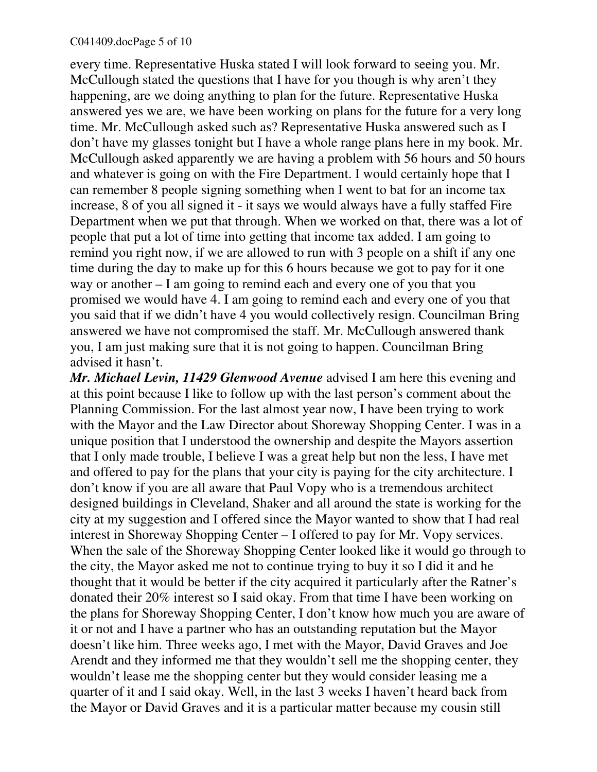every time. Representative Huska stated I will look forward to seeing you. Mr. McCullough stated the questions that I have for you though is why aren't they happening, are we doing anything to plan for the future. Representative Huska answered yes we are, we have been working on plans for the future for a very long time. Mr. McCullough asked such as? Representative Huska answered such as I don't have my glasses tonight but I have a whole range plans here in my book. Mr. McCullough asked apparently we are having a problem with 56 hours and 50 hours and whatever is going on with the Fire Department. I would certainly hope that I can remember 8 people signing something when I went to bat for an income tax increase, 8 of you all signed it - it says we would always have a fully staffed Fire Department when we put that through. When we worked on that, there was a lot of people that put a lot of time into getting that income tax added. I am going to remind you right now, if we are allowed to run with 3 people on a shift if any one time during the day to make up for this 6 hours because we got to pay for it one way or another – I am going to remind each and every one of you that you promised we would have 4. I am going to remind each and every one of you that you said that if we didn't have 4 you would collectively resign. Councilman Bring answered we have not compromised the staff. Mr. McCullough answered thank you, I am just making sure that it is not going to happen. Councilman Bring advised it hasn't.

*Mr. Michael Levin, 11429 Glenwood Avenue* advised I am here this evening and at this point because I like to follow up with the last person's comment about the Planning Commission. For the last almost year now, I have been trying to work with the Mayor and the Law Director about Shoreway Shopping Center. I was in a unique position that I understood the ownership and despite the Mayors assertion that I only made trouble, I believe I was a great help but non the less, I have met and offered to pay for the plans that your city is paying for the city architecture. I don't know if you are all aware that Paul Vopy who is a tremendous architect designed buildings in Cleveland, Shaker and all around the state is working for the city at my suggestion and I offered since the Mayor wanted to show that I had real interest in Shoreway Shopping Center – I offered to pay for Mr. Vopy services. When the sale of the Shoreway Shopping Center looked like it would go through to the city, the Mayor asked me not to continue trying to buy it so I did it and he thought that it would be better if the city acquired it particularly after the Ratner's donated their 20% interest so I said okay. From that time I have been working on the plans for Shoreway Shopping Center, I don't know how much you are aware of it or not and I have a partner who has an outstanding reputation but the Mayor doesn't like him. Three weeks ago, I met with the Mayor, David Graves and Joe Arendt and they informed me that they wouldn't sell me the shopping center, they wouldn't lease me the shopping center but they would consider leasing me a quarter of it and I said okay. Well, in the last 3 weeks I haven't heard back from the Mayor or David Graves and it is a particular matter because my cousin still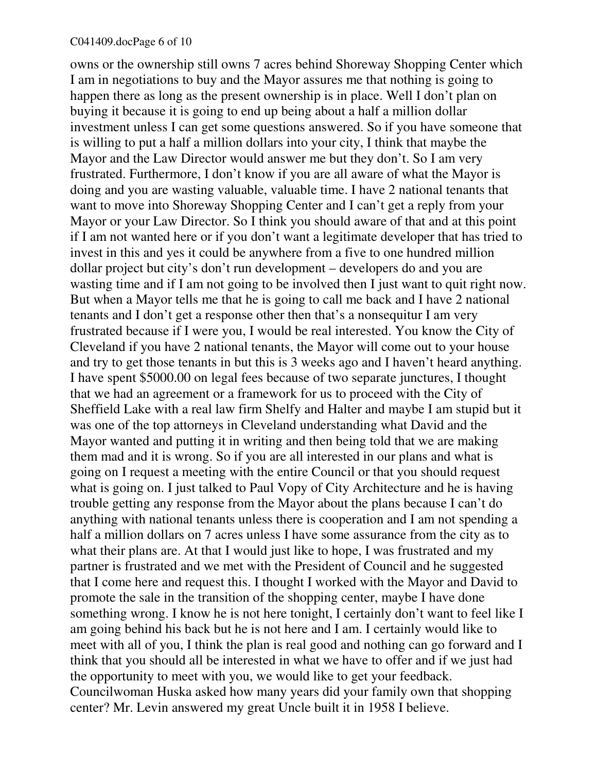owns or the ownership still owns 7 acres behind Shoreway Shopping Center which I am in negotiations to buy and the Mayor assures me that nothing is going to happen there as long as the present ownership is in place. Well I don't plan on buying it because it is going to end up being about a half a million dollar investment unless I can get some questions answered. So if you have someone that is willing to put a half a million dollars into your city, I think that maybe the Mayor and the Law Director would answer me but they don't. So I am very frustrated. Furthermore, I don't know if you are all aware of what the Mayor is doing and you are wasting valuable, valuable time. I have 2 national tenants that want to move into Shoreway Shopping Center and I can't get a reply from your Mayor or your Law Director. So I think you should aware of that and at this point if I am not wanted here or if you don't want a legitimate developer that has tried to invest in this and yes it could be anywhere from a five to one hundred million dollar project but city's don't run development – developers do and you are wasting time and if I am not going to be involved then I just want to quit right now. But when a Mayor tells me that he is going to call me back and I have 2 national tenants and I don't get a response other then that's a nonsequitur I am very frustrated because if I were you, I would be real interested. You know the City of Cleveland if you have 2 national tenants, the Mayor will come out to your house and try to get those tenants in but this is 3 weeks ago and I haven't heard anything. I have spent \$5000.00 on legal fees because of two separate junctures, I thought that we had an agreement or a framework for us to proceed with the City of Sheffield Lake with a real law firm Shelfy and Halter and maybe I am stupid but it was one of the top attorneys in Cleveland understanding what David and the Mayor wanted and putting it in writing and then being told that we are making them mad and it is wrong. So if you are all interested in our plans and what is going on I request a meeting with the entire Council or that you should request what is going on. I just talked to Paul Vopy of City Architecture and he is having trouble getting any response from the Mayor about the plans because I can't do anything with national tenants unless there is cooperation and I am not spending a half a million dollars on 7 acres unless I have some assurance from the city as to what their plans are. At that I would just like to hope, I was frustrated and my partner is frustrated and we met with the President of Council and he suggested that I come here and request this. I thought I worked with the Mayor and David to promote the sale in the transition of the shopping center, maybe I have done something wrong. I know he is not here tonight, I certainly don't want to feel like I am going behind his back but he is not here and I am. I certainly would like to meet with all of you, I think the plan is real good and nothing can go forward and I think that you should all be interested in what we have to offer and if we just had the opportunity to meet with you, we would like to get your feedback. Councilwoman Huska asked how many years did your family own that shopping center? Mr. Levin answered my great Uncle built it in 1958 I believe.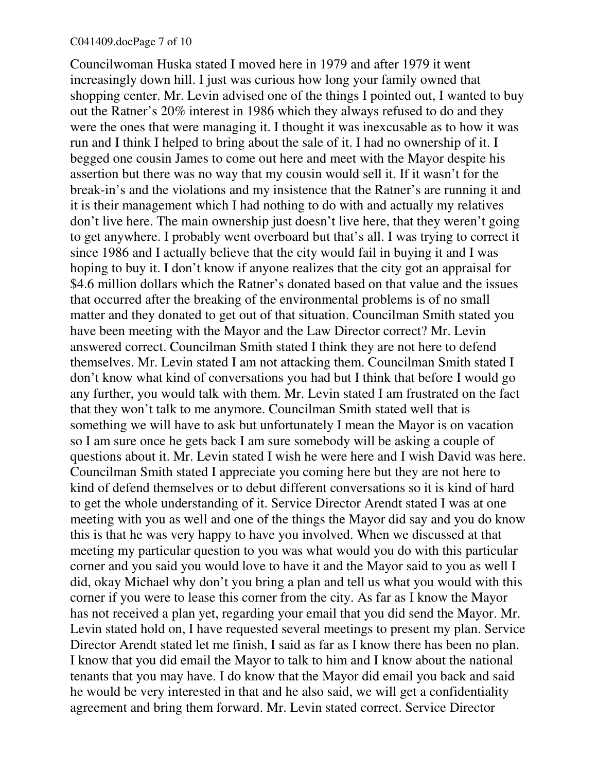#### C041409.docPage 7 of 10

Councilwoman Huska stated I moved here in 1979 and after 1979 it went increasingly down hill. I just was curious how long your family owned that shopping center. Mr. Levin advised one of the things I pointed out, I wanted to buy out the Ratner's 20% interest in 1986 which they always refused to do and they were the ones that were managing it. I thought it was inexcusable as to how it was run and I think I helped to bring about the sale of it. I had no ownership of it. I begged one cousin James to come out here and meet with the Mayor despite his assertion but there was no way that my cousin would sell it. If it wasn't for the break-in's and the violations and my insistence that the Ratner's are running it and it is their management which I had nothing to do with and actually my relatives don't live here. The main ownership just doesn't live here, that they weren't going to get anywhere. I probably went overboard but that's all. I was trying to correct it since 1986 and I actually believe that the city would fail in buying it and I was hoping to buy it. I don't know if anyone realizes that the city got an appraisal for \$4.6 million dollars which the Ratner's donated based on that value and the issues that occurred after the breaking of the environmental problems is of no small matter and they donated to get out of that situation. Councilman Smith stated you have been meeting with the Mayor and the Law Director correct? Mr. Levin answered correct. Councilman Smith stated I think they are not here to defend themselves. Mr. Levin stated I am not attacking them. Councilman Smith stated I don't know what kind of conversations you had but I think that before I would go any further, you would talk with them. Mr. Levin stated I am frustrated on the fact that they won't talk to me anymore. Councilman Smith stated well that is something we will have to ask but unfortunately I mean the Mayor is on vacation so I am sure once he gets back I am sure somebody will be asking a couple of questions about it. Mr. Levin stated I wish he were here and I wish David was here. Councilman Smith stated I appreciate you coming here but they are not here to kind of defend themselves or to debut different conversations so it is kind of hard to get the whole understanding of it. Service Director Arendt stated I was at one meeting with you as well and one of the things the Mayor did say and you do know this is that he was very happy to have you involved. When we discussed at that meeting my particular question to you was what would you do with this particular corner and you said you would love to have it and the Mayor said to you as well I did, okay Michael why don't you bring a plan and tell us what you would with this corner if you were to lease this corner from the city. As far as I know the Mayor has not received a plan yet, regarding your email that you did send the Mayor. Mr. Levin stated hold on, I have requested several meetings to present my plan. Service Director Arendt stated let me finish, I said as far as I know there has been no plan. I know that you did email the Mayor to talk to him and I know about the national tenants that you may have. I do know that the Mayor did email you back and said he would be very interested in that and he also said, we will get a confidentiality agreement and bring them forward. Mr. Levin stated correct. Service Director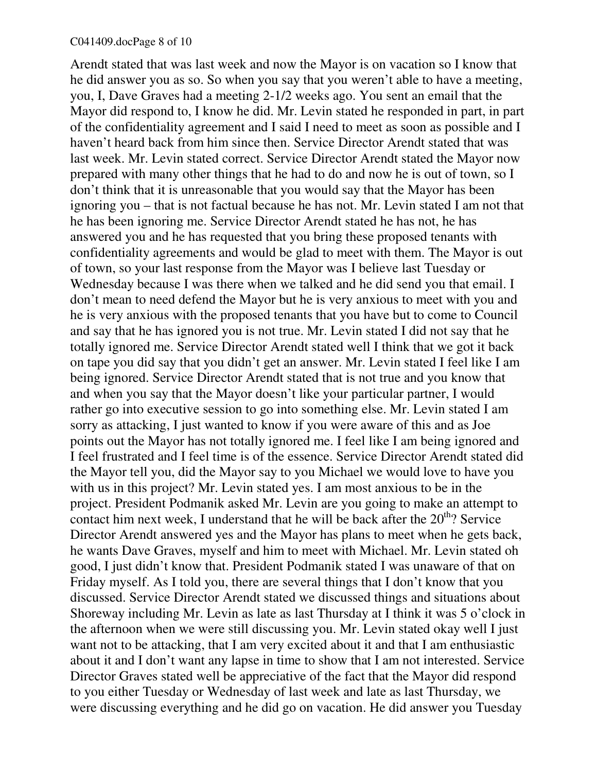Arendt stated that was last week and now the Mayor is on vacation so I know that he did answer you as so. So when you say that you weren't able to have a meeting, you, I, Dave Graves had a meeting 2-1/2 weeks ago. You sent an email that the Mayor did respond to, I know he did. Mr. Levin stated he responded in part, in part of the confidentiality agreement and I said I need to meet as soon as possible and I haven't heard back from him since then. Service Director Arendt stated that was last week. Mr. Levin stated correct. Service Director Arendt stated the Mayor now prepared with many other things that he had to do and now he is out of town, so I don't think that it is unreasonable that you would say that the Mayor has been ignoring you – that is not factual because he has not. Mr. Levin stated I am not that he has been ignoring me. Service Director Arendt stated he has not, he has answered you and he has requested that you bring these proposed tenants with confidentiality agreements and would be glad to meet with them. The Mayor is out of town, so your last response from the Mayor was I believe last Tuesday or Wednesday because I was there when we talked and he did send you that email. I don't mean to need defend the Mayor but he is very anxious to meet with you and he is very anxious with the proposed tenants that you have but to come to Council and say that he has ignored you is not true. Mr. Levin stated I did not say that he totally ignored me. Service Director Arendt stated well I think that we got it back on tape you did say that you didn't get an answer. Mr. Levin stated I feel like I am being ignored. Service Director Arendt stated that is not true and you know that and when you say that the Mayor doesn't like your particular partner, I would rather go into executive session to go into something else. Mr. Levin stated I am sorry as attacking, I just wanted to know if you were aware of this and as Joe points out the Mayor has not totally ignored me. I feel like I am being ignored and I feel frustrated and I feel time is of the essence. Service Director Arendt stated did the Mayor tell you, did the Mayor say to you Michael we would love to have you with us in this project? Mr. Levin stated yes. I am most anxious to be in the project. President Podmanik asked Mr. Levin are you going to make an attempt to contact him next week, I understand that he will be back after the  $20<sup>th</sup>$ ? Service Director Arendt answered yes and the Mayor has plans to meet when he gets back, he wants Dave Graves, myself and him to meet with Michael. Mr. Levin stated oh good, I just didn't know that. President Podmanik stated I was unaware of that on Friday myself. As I told you, there are several things that I don't know that you discussed. Service Director Arendt stated we discussed things and situations about Shoreway including Mr. Levin as late as last Thursday at I think it was 5 o'clock in the afternoon when we were still discussing you. Mr. Levin stated okay well I just want not to be attacking, that I am very excited about it and that I am enthusiastic about it and I don't want any lapse in time to show that I am not interested. Service Director Graves stated well be appreciative of the fact that the Mayor did respond to you either Tuesday or Wednesday of last week and late as last Thursday, we were discussing everything and he did go on vacation. He did answer you Tuesday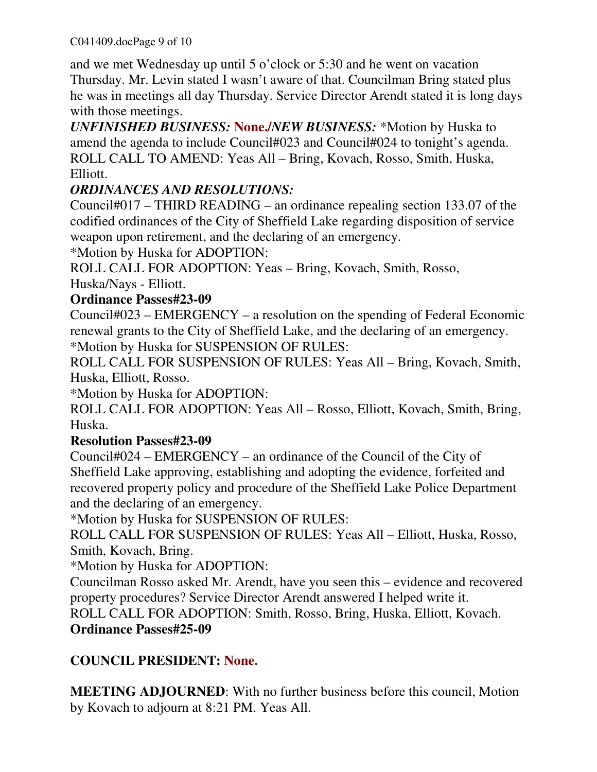and we met Wednesday up until 5 o'clock or 5:30 and he went on vacation Thursday. Mr. Levin stated I wasn't aware of that. Councilman Bring stated plus he was in meetings all day Thursday. Service Director Arendt stated it is long days with those meetings.

*UNFINISHED BUSINESS:* **None./***NEW BUSINESS:* \*Motion by Huska to amend the agenda to include Council#023 and Council#024 to tonight's agenda. ROLL CALL TO AMEND: Yeas All – Bring, Kovach, Rosso, Smith, Huska, Elliott.

# *ORDINANCES AND RESOLUTIONS:*

Council#017 – THIRD READING – an ordinance repealing section 133.07 of the codified ordinances of the City of Sheffield Lake regarding disposition of service weapon upon retirement, and the declaring of an emergency.

\*Motion by Huska for ADOPTION:

ROLL CALL FOR ADOPTION: Yeas – Bring, Kovach, Smith, Rosso, Huska/Nays - Elliott.

### **Ordinance Passes#23-09**

Council#023 – EMERGENCY – a resolution on the spending of Federal Economic renewal grants to the City of Sheffield Lake, and the declaring of an emergency. \*Motion by Huska for SUSPENSION OF RULES:

ROLL CALL FOR SUSPENSION OF RULES: Yeas All – Bring, Kovach, Smith, Huska, Elliott, Rosso.

\*Motion by Huska for ADOPTION:

ROLL CALL FOR ADOPTION: Yeas All – Rosso, Elliott, Kovach, Smith, Bring, Huska.

### **Resolution Passes#23-09**

Council#024 – EMERGENCY – an ordinance of the Council of the City of Sheffield Lake approving, establishing and adopting the evidence, forfeited and recovered property policy and procedure of the Sheffield Lake Police Department and the declaring of an emergency.

\*Motion by Huska for SUSPENSION OF RULES:

ROLL CALL FOR SUSPENSION OF RULES: Yeas All – Elliott, Huska, Rosso, Smith, Kovach, Bring.

\*Motion by Huska for ADOPTION:

Councilman Rosso asked Mr. Arendt, have you seen this – evidence and recovered property procedures? Service Director Arendt answered I helped write it.

ROLL CALL FOR ADOPTION: Smith, Rosso, Bring, Huska, Elliott, Kovach. **Ordinance Passes#25-09**

## **COUNCIL PRESIDENT: None.**

**MEETING ADJOURNED**: With no further business before this council, Motion by Kovach to adjourn at 8:21 PM. Yeas All.